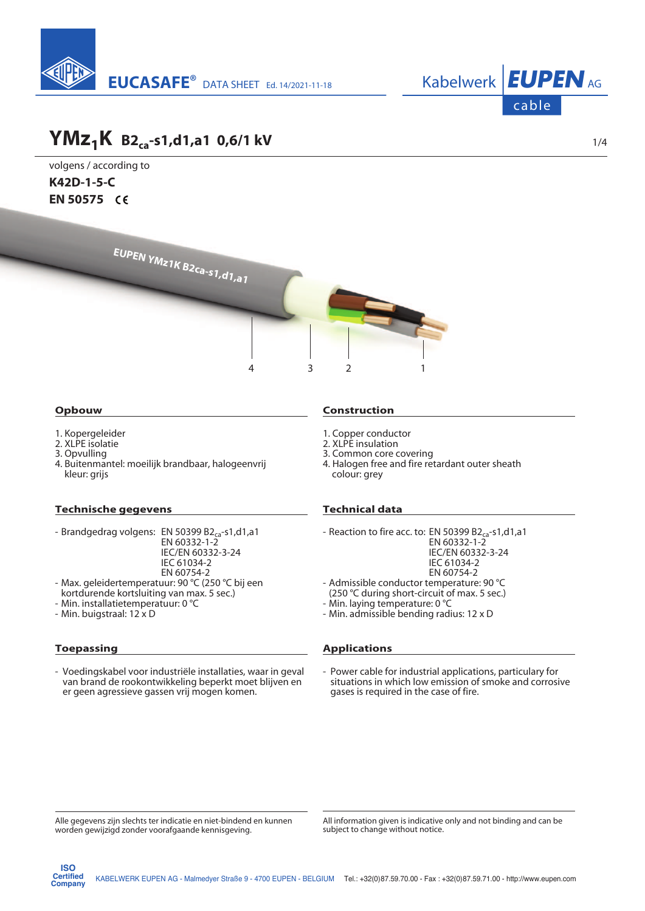



## **YMz1K B2ca-s1,d1,a1 0,6/1 kV**

volgens / according to **K42D-1-5-C EN 50575**



### **Opbouw**

- 1. Kopergeleider
- 2. XLPE isolatie
- 3. Opvulling
- 4. Buitenmantel: moeilijk brandbaar, halogeenvrij kleur: grijs

#### **Technische gegevens**

- Brandgedrag volgens: EN 50399 B2<sub>ca</sub>-s1,d1,a1
	- EN 60332-1-2
		- IEC/EN 60332-3-24 IEC 61034-2
		-
- EN 60754-2 - Max. geleidertemperatuur: 90 °C (250 °C bij een
- kortdurende kortsluiting van max. 5 sec.) - Min. installatietemperatuur: 0 °C
- Min. buigstraal: 12 x D

### **Toepassing**

**ISO**

- Voedingskabel voor industriële installaties, waar in geval van brand de rookontwikkeling beperkt moet blijven en er geen agressieve gassen vrij mogen komen.

#### **Construction**

- 1. Copper conductor
- 2. XLPE insulation
- 3. Common core covering
- 4. Halogen free and fire retardant outer sheath colour: grey

### **Technical data**

- Reaction to fire acc. to: EN 50399 B2<sub>ca</sub>-s1,d1,a1
	- EN 60332-1-2 IEC/EN 60332-3-24
		- IEC 61034-2
		- EN 60754-2
- Admissible conductor temperature: 90 °C
- (250 °C during short-circuit of max. 5 sec.)
- Min. laying temperature: 0 °C
- Min. admissible bending radius: 12 x D

#### **Applications**

- Power cable for industrial applications, particulary for situations in which low emission of smoke and corrosive gases is required in the case of fire.

Alle gegevens zijn slechts ter indicatie en niet-bindend en kunnen worden gewijzigd zonder voorafgaande kennisgeving.

All information given is indicative only and not binding and can be subject to change without notice.

1/4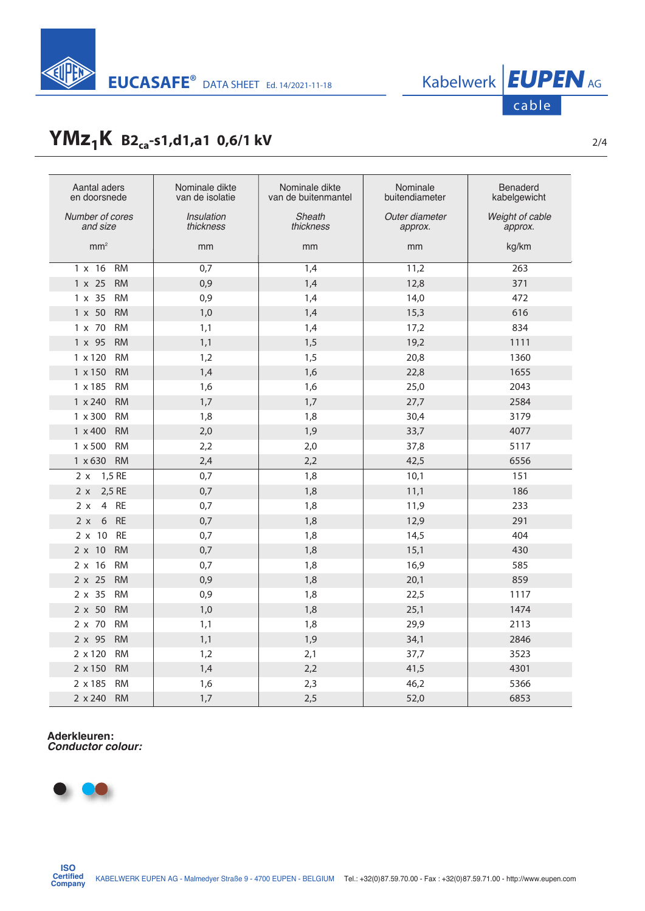

## **YMz<sub>1</sub>K** B2<sub>ca</sub>-s1,d1,a1 0,6/1 kV <sup>2/4</sup>

| Aantal aders<br>en doorsnede | Nominale dikte<br>van de isolatie | Nominale dikte<br>van de buitenmantel | Nominale<br>buitendiameter | <b>Benaderd</b><br>kabelgewicht |
|------------------------------|-----------------------------------|---------------------------------------|----------------------------|---------------------------------|
| Number of cores<br>and size  | Insulation<br>thickness           | Sheath<br>thickness                   | Outer diameter<br>approx.  | Weight of cable<br>approx.      |
| mm <sup>2</sup>              | mm                                | mm                                    | mm                         | kg/km                           |
| $1 \times 16$<br>RM          | 0,7                               | $\overline{1,4}$                      | 11,2                       | 263                             |
| $1 \times 25$<br><b>RM</b>   | 0,9                               | 1,4                                   | 12,8                       | 371                             |
| 1 x 35<br><b>RM</b>          | 0,9                               | 1,4                                   | 14,0                       | 472                             |
| 1 x 50<br><b>RM</b>          | 1,0                               | 1,4                                   | 15,3                       | 616                             |
| $1 \times 70$<br><b>RM</b>   | 1,1                               | 1,4                                   | 17,2                       | 834                             |
| $1 \times 95$<br><b>RM</b>   | 1,1                               | 1,5                                   | 19,2                       | 1111                            |
| $1 \times 120$<br><b>RM</b>  | 1,2                               | 1,5                                   | 20,8                       | 1360                            |
| $1 \times 150$<br><b>RM</b>  | 1,4                               | 1,6                                   | 22,8                       | 1655                            |
| 1 x 185<br><b>RM</b>         | 1,6                               | 1,6                                   | 25,0                       | 2043                            |
| $1 \times 240$<br><b>RM</b>  | 1,7                               | 1,7                                   | 27,7                       | 2584                            |
| $1 \times 300$<br><b>RM</b>  | 1,8                               | 1,8                                   | 30,4                       | 3179                            |
| $1 \times 400$<br><b>RM</b>  | 2,0                               | 1,9                                   | 33,7                       | 4077                            |
| $1 \times 500$<br><b>RM</b>  | 2,2                               | 2,0                                   | 37,8                       | 5117                            |
| 1 x 630 RM                   | 2,4                               | 2,2                                   | 42,5                       | 6556                            |
| 1,5 RE<br>2 x                | 0,7                               | 1,8                                   | 10,1                       | 151                             |
| 2,5 RE<br>2 x                | 0,7                               | 1,8                                   | 11,1                       | 186                             |
| 4 RE<br>2x                   | 0,7                               | 1,8                                   | 11,9                       | 233                             |
| RE<br>6<br>2 x               | 0,7                               | 1,8                                   | 12,9                       | 291                             |
| <b>RE</b><br>$2 \times 10$   | 0,7                               | 1,8                                   | 14,5                       | 404                             |
| $2 \times 10$<br><b>RM</b>   | 0,7                               | 1,8                                   | 15,1                       | 430                             |
| <b>RM</b><br>$2 \times 16$   | 0,7                               | 1,8                                   | 16,9                       | 585                             |
| $2 \times 25$<br><b>RM</b>   | 0,9                               | 1,8                                   | 20,1                       | 859                             |
| $2 \times 35$<br><b>RM</b>   | 0,9                               | 1,8                                   | 22,5                       | 1117                            |
| $2 \times 50$<br><b>RM</b>   | 1,0                               | 1,8                                   | 25,1                       | 1474                            |
| 2 x 70<br><b>RM</b>          | 1,1                               | 1,8                                   | 29,9                       | 2113                            |
| $2 \times 95$<br><b>RM</b>   | 1,1                               | 1,9                                   | 34,1                       | 2846                            |
| 2 x 120<br><b>RM</b>         | 1,2                               | 2,1                                   | 37,7                       | 3523                            |
| 2 x 150<br><b>RM</b>         | 1,4                               | 2,2                                   | 41,5                       | 4301                            |
| 2 x 185<br><b>RM</b>         | 1,6                               | 2,3                                   | 46,2                       | 5366                            |
| $2 \times 240$<br><b>RM</b>  | 1,7                               | 2,5                                   | 52,0                       | 6853                            |

# **Aderkleuren:** *Conductor colour:*



cable

KABELWERK EUPEN AG - Malmedyer Straße 9 - 4700 EUPEN - BELGIUM Tel.: +32(0) 87.59.70.00 - Fax : +32(0) 87.59.71.00 - http://www.eupen.com **ISO Certified Company**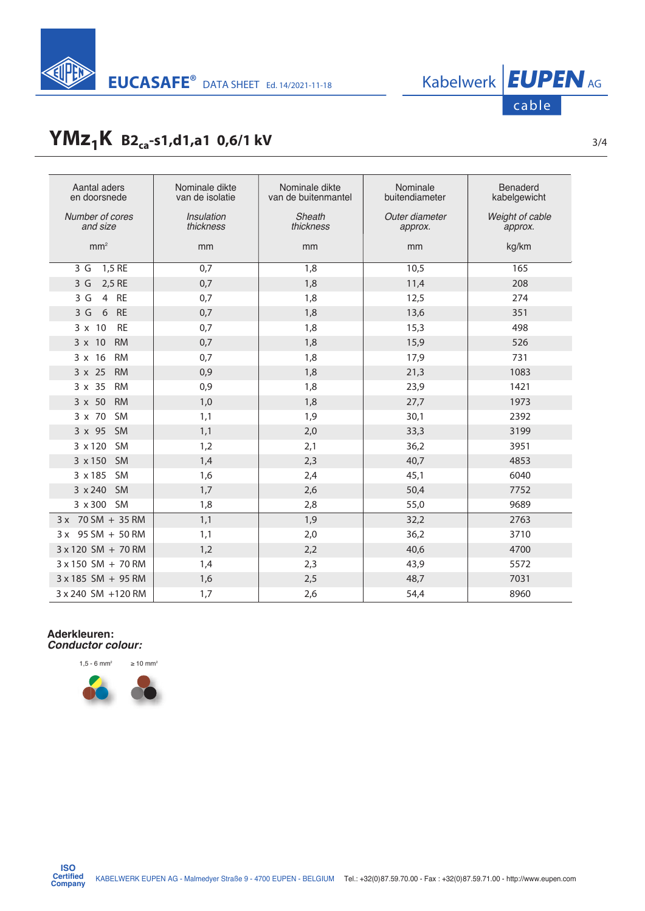

# **YMz<sub>1</sub>K** B2<sub>ca</sub>-s1,d1,a1 0,6/1 kV <sup>3/4</sup>

| Aantal aders<br>en doorsnede | Nominale dikte<br>van de isolatie | Nominale dikte<br>van de buitenmantel | Nominale<br>buitendiameter | <b>Benaderd</b><br>kabelgewicht |
|------------------------------|-----------------------------------|---------------------------------------|----------------------------|---------------------------------|
| Number of cores<br>and size  | Insulation<br>thickness           | Sheath<br>thickness                   | Outer diameter<br>approx.  | Weight of cable<br>approx.      |
| mm <sup>2</sup>              | mm                                | mm                                    | mm                         | kg/km                           |
| 1,5 RE<br>3 G                | 0,7                               | 1,8                                   | 10,5                       | 165                             |
| 2,5 RE<br>3G                 | 0,7                               | 1,8                                   | 11,4                       | 208                             |
| 4 RE<br>3 G                  | 0,7                               | 1,8                                   | 12,5                       | 274                             |
| <b>RE</b><br>3G<br>6         | 0,7                               | 1,8                                   | 13,6                       | 351                             |
| 3 x 10<br><b>RE</b>          | 0,7                               | 1,8                                   | 15,3                       | 498                             |
| $3 \times 10$<br><b>RM</b>   | 0,7                               | 1,8                                   | 15,9                       | 526                             |
| $3 \times 16$<br><b>RM</b>   | 0,7                               | 1,8                                   | 17,9                       | 731                             |
| $3 \times 25$<br><b>RM</b>   | 0,9                               | 1,8                                   | 21,3                       | 1083                            |
| $3 \times 35$<br><b>RM</b>   | 0,9                               | 1,8                                   | 23,9                       | 1421                            |
| $3 \times 50$<br><b>RM</b>   | 1,0                               | 1,8                                   | 27,7                       | 1973                            |
| <b>SM</b><br>3 x 70          | 1,1                               | 1,9                                   | 30,1                       | 2392                            |
| 3 x 95<br>SM                 | 1,1                               | 2,0                                   | 33,3                       | 3199                            |
| 3 x 120 SM                   | 1,2                               | 2,1                                   | 36,2                       | 3951                            |
| 3 x 150<br><b>SM</b>         | 1,4                               | 2,3                                   | 40,7                       | 4853                            |
| 3 x 185 SM                   | 1,6                               | 2,4                                   | 45,1                       | 6040                            |
| 3 x 240 SM                   | 1,7                               | 2,6                                   | 50,4                       | 7752                            |
| 3 x 300 SM                   | 1,8                               | 2,8                                   | 55,0                       | 9689                            |
| 3 x 70 SM + 35 RM            | 1,1                               | 1,9                                   | 32,2                       | 2763                            |
| 3 x 95 SM + 50 RM            | 1,1                               | 2,0                                   | 36,2                       | 3710                            |
| 3 x 120 SM + 70 RM           | 1,2                               | 2,2                                   | 40,6                       | 4700                            |
| $3 \times 150$ SM + 70 RM    | 1,4                               | 2,3                                   | 43,9                       | 5572                            |
| $3 \times 185$ SM + 95 RM    | 1,6                               | 2,5                                   | 48,7                       | 7031                            |
| 3 x 240 SM +120 RM           | 1,7                               | 2,6                                   | 54,4                       | 8960                            |

# **Aderkleuren:** *Conductor colour:*





**ISO Certified Company**

cable